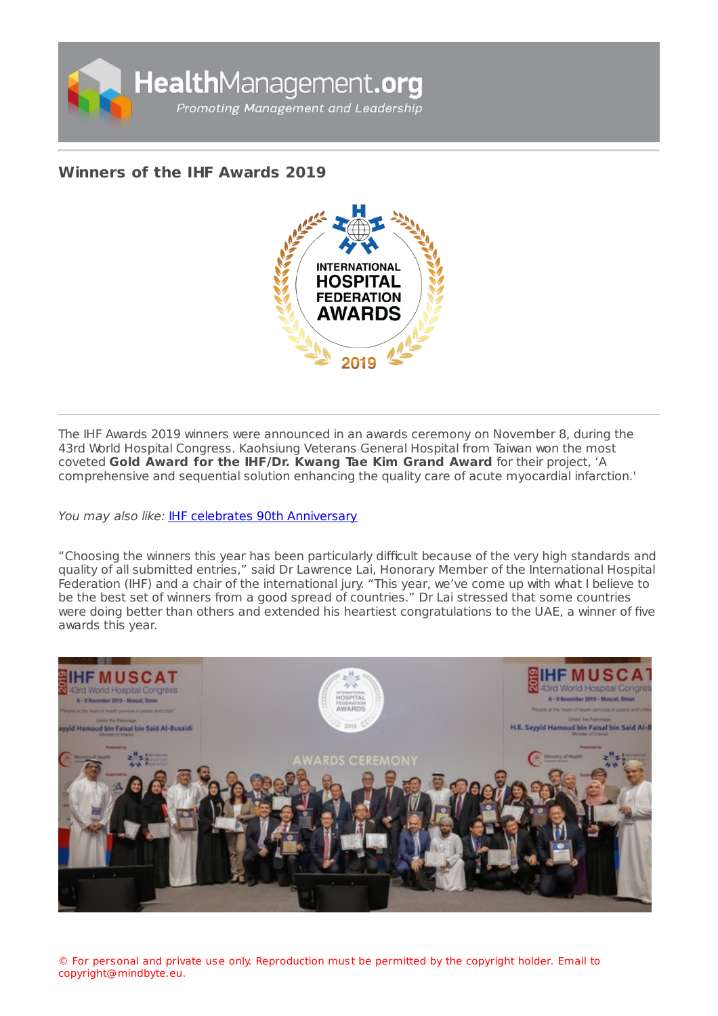

## **[Winners](https://healthmanagement.org/s/winners-of-the-ihf-awards-2019) of the IHF Awards 2019**



The IHF Awards 2019 winners were announced in an awards ceremony on November 8, during the 43rd World Hospital Congress. Kaohsiung Veterans General Hospital from Taiwan won the most coveted **Gold Award for the IHF/Dr. Kwang Tae Kim Grand Award** for their project, 'A comprehensive and sequential solution enhancing the quality care of acute myocardial infarction.'

You may also like: **IHF celebrates 90th [Anniversary](https://healthmanagement.org/c/hospital/pressrelease/ihf-celebrates-90th-anniversary)** 

"Choosing the winners this year has been particularly difficult because of the very high standards and quality of all submitted entries," said Dr Lawrence Lai, Honorary Member of the International Hospital Federation (IHF) and a chair of the international jury. "This year, we've come up with what I believe to be the best set of winners from a good spread of countries." Dr Lai stressed that some countries were doing better than others and extended his heartiest congratulations to the UAE, a winner of five awards this year.



© For personal and private use only. Reproduction must be permitted by the copyright holder. Email to copyright@mindbyte.eu.